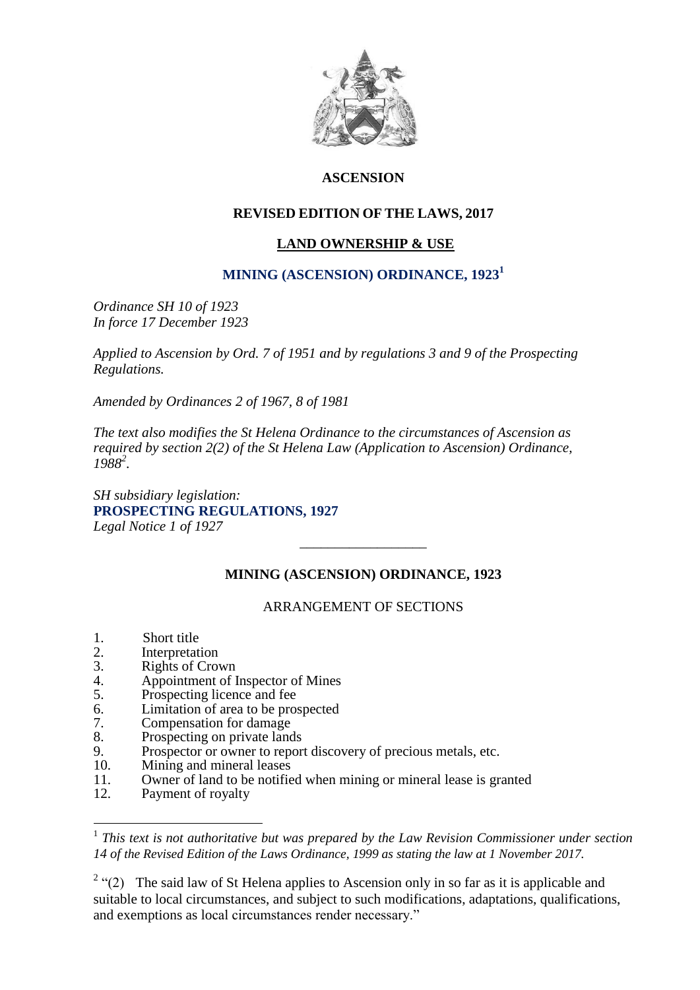

# **ASCENSION**

# **REVISED EDITION OF THE LAWS, 2017**

## **LAND OWNERSHIP & USE**

## **MINING (ASCENSION) ORDINANCE, 1923<sup>1</sup>**

*Ordinance SH 10 of 1923 In force 17 December 1923*

*Applied to Ascension by Ord. 7 of 1951 and by regulations 3 and 9 of the Prospecting Regulations.*

*Amended by Ordinances 2 of 1967, 8 of 1981*

*The text also modifies the St Helena Ordinance to the circumstances of Ascension as required by section 2(2) of the St Helena Law (Application to Ascension) Ordinance, 1988<sup>2</sup> .*

*SH subsidiary legislation:* **PROSPECTING REGULATIONS, 1927**  *Legal Notice 1 of 1927* 

## **MINING (ASCENSION) ORDINANCE, 1923**

\_\_\_\_\_\_\_\_\_\_\_\_\_\_\_\_\_\_

### ARRANGEMENT OF SECTIONS

- 1. Short title<br>2. Interpretati
- 2. Interpretation<br>3. Rights of Croy
- 3. Rights of Crown<br>4. Appointment of I
- 4. Appointment of Inspector of Mines<br>5. Prospecting licence and fee
- Prospecting licence and fee
- 6. Limitation of area to be prospected
- 7. Compensation for damage
- 8. Prospecting on private lands<br>9. Prospector or owner to report
- 9. Prospector or owner to report discovery of precious metals, etc.<br>10. Mining and mineral leases
- 10. Mining and mineral leases<br>11. Owner of land to be notifie
- 11. Owner of land to be notified when mining or mineral lease is granted<br>12. Payment of royalty
- Payment of royalty

1

<sup>&</sup>lt;sup>1</sup> This text is not authoritative but was prepared by the Law Revision Commissioner under section *14 of the Revised Edition of the Laws Ordinance, 1999 as stating the law at 1 November 2017.*

<sup>&</sup>lt;sup>2</sup> "(2) The said law of St Helena applies to Ascension only in so far as it is applicable and suitable to local circumstances, and subject to such modifications, adaptations, qualifications, and exemptions as local circumstances render necessary."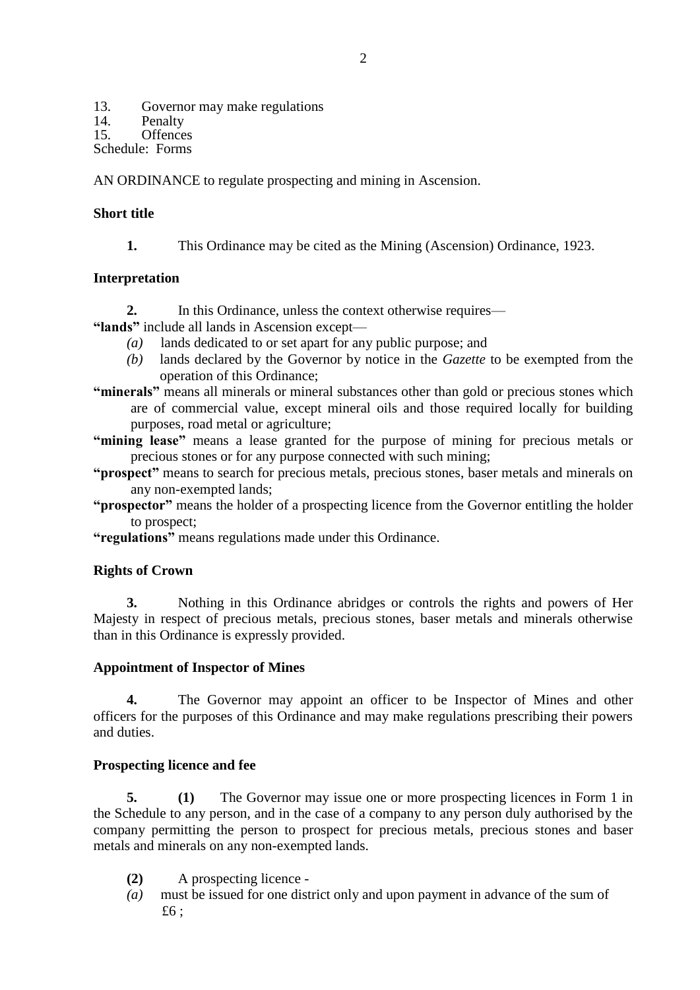13. Governor may make regulations<br>14 Penalty

14. Penalty<br>15. Offence

Offences

Schedule: Forms

AN ORDINANCE to regulate prospecting and mining in Ascension.

## **Short title**

**1.** This Ordinance may be cited as the Mining (Ascension) Ordinance, 1923.

## **Interpretation**

- **2.** In this Ordinance, unless the context otherwise requires—
- **"lands"** include all lands in Ascension except—
	- *(a)* lands dedicated to or set apart for any public purpose; and
	- *(b)* lands declared by the Governor by notice in the *Gazette* to be exempted from the operation of this Ordinance;
- **"minerals"** means all minerals or mineral substances other than gold or precious stones which are of commercial value, except mineral oils and those required locally for building purposes, road metal or agriculture;
- **"mining lease"** means a lease granted for the purpose of mining for precious metals or precious stones or for any purpose connected with such mining;
- **"prospect"** means to search for precious metals, precious stones, baser metals and minerals on any non-exempted lands;
- **"prospector"** means the holder of a prospecting licence from the Governor entitling the holder to prospect;
- **"regulations"** means regulations made under this Ordinance.

## **Rights of Crown**

**3.** Nothing in this Ordinance abridges or controls the rights and powers of Her Majesty in respect of precious metals, precious stones, baser metals and minerals otherwise than in this Ordinance is expressly provided.

### **Appointment of Inspector of Mines**

**4.** The Governor may appoint an officer to be Inspector of Mines and other officers for the purposes of this Ordinance and may make regulations prescribing their powers and duties.

### **Prospecting licence and fee**

**5. (1)** The Governor may issue one or more prospecting licences in Form 1 in the Schedule to any person, and in the case of a company to any person duly authorised by the company permitting the person to prospect for precious metals, precious stones and baser metals and minerals on any non-exempted lands.

- **(2)** A prospecting licence -
- *(a)* must be issued for one district only and upon payment in advance of the sum of  $£6$  ;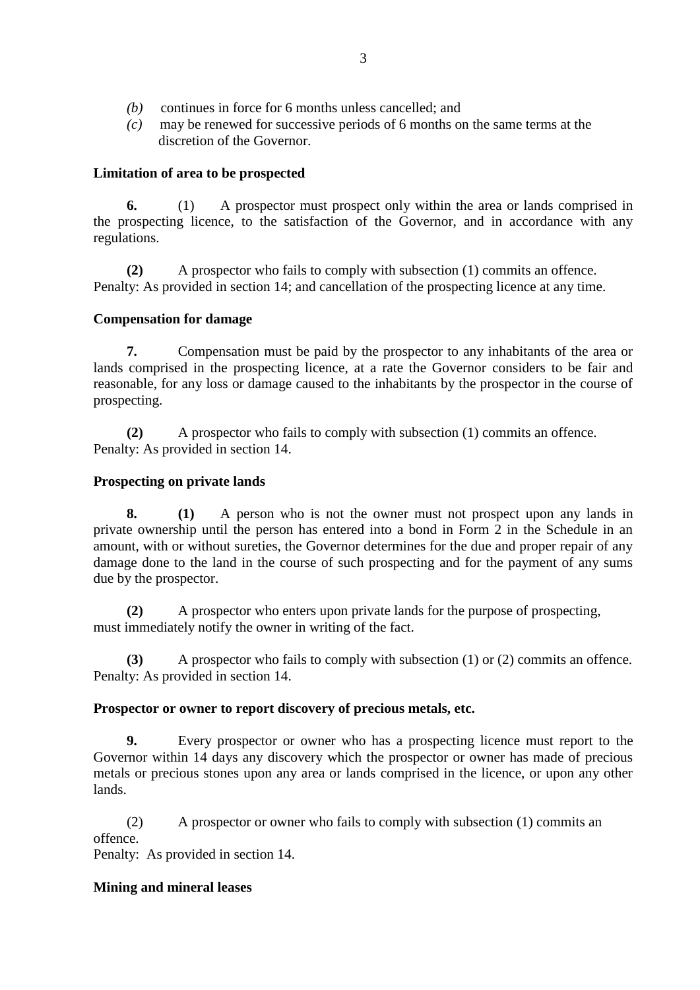- *(b)* continues in force for 6 months unless cancelled; and
- *(c)* may be renewed for successive periods of 6 months on the same terms at the discretion of the Governor.

### **Limitation of area to be prospected**

**6.** (1) A prospector must prospect only within the area or lands comprised in the prospecting licence, to the satisfaction of the Governor, and in accordance with any regulations.

**(2)** A prospector who fails to comply with subsection (1) commits an offence. Penalty: As provided in section 14; and cancellation of the prospecting licence at any time.

## **Compensation for damage**

**7.** Compensation must be paid by the prospector to any inhabitants of the area or lands comprised in the prospecting licence, at a rate the Governor considers to be fair and reasonable, for any loss or damage caused to the inhabitants by the prospector in the course of prospecting.

**(2)** A prospector who fails to comply with subsection (1) commits an offence. Penalty: As provided in section 14.

## **Prospecting on private lands**

**8. (1)** A person who is not the owner must not prospect upon any lands in private ownership until the person has entered into a bond in Form 2 in the Schedule in an amount, with or without sureties, the Governor determines for the due and proper repair of any damage done to the land in the course of such prospecting and for the payment of any sums due by the prospector.

**(2)** A prospector who enters upon private lands for the purpose of prospecting, must immediately notify the owner in writing of the fact.

**(3)** A prospector who fails to comply with subsection (1) or (2) commits an offence. Penalty: As provided in section 14.

### **Prospector or owner to report discovery of precious metals, etc.**

**9.** Every prospector or owner who has a prospecting licence must report to the Governor within 14 days any discovery which the prospector or owner has made of precious metals or precious stones upon any area or lands comprised in the licence, or upon any other lands.

(2) A prospector or owner who fails to comply with subsection (1) commits an offence.

Penalty: As provided in section 14.

## **Mining and mineral leases**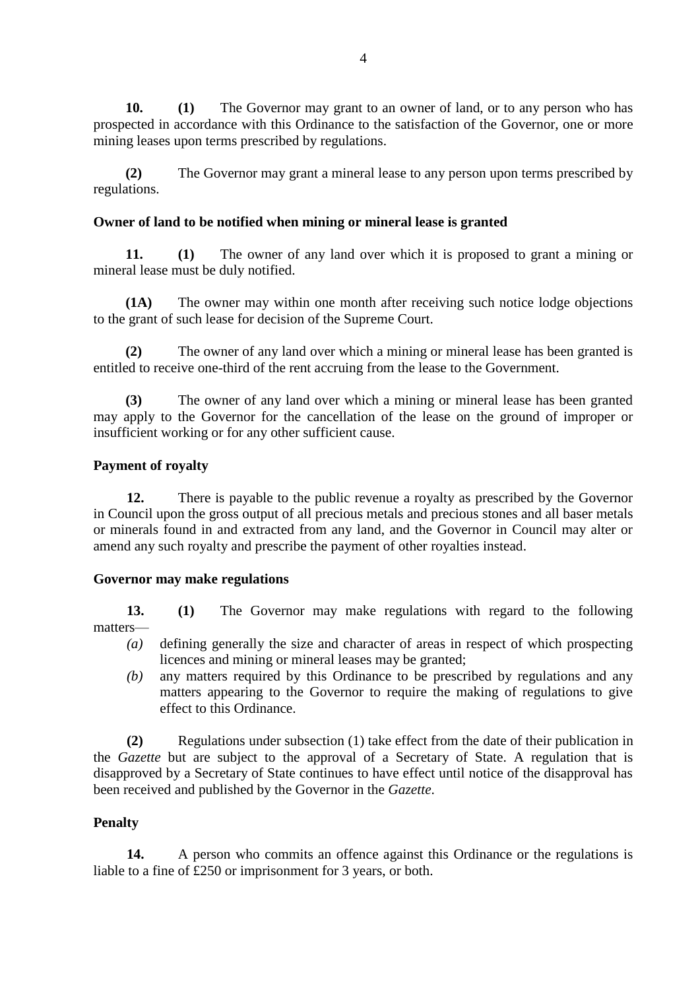**10. (1)** The Governor may grant to an owner of land, or to any person who has prospected in accordance with this Ordinance to the satisfaction of the Governor, one or more mining leases upon terms prescribed by regulations.

**(2)** The Governor may grant a mineral lease to any person upon terms prescribed by regulations.

## **Owner of land to be notified when mining or mineral lease is granted**

**11. (1)** The owner of any land over which it is proposed to grant a mining or mineral lease must be duly notified.

**(1A)** The owner may within one month after receiving such notice lodge objections to the grant of such lease for decision of the Supreme Court.

**(2)** The owner of any land over which a mining or mineral lease has been granted is entitled to receive one-third of the rent accruing from the lease to the Government.

**(3)** The owner of any land over which a mining or mineral lease has been granted may apply to the Governor for the cancellation of the lease on the ground of improper or insufficient working or for any other sufficient cause.

## **Payment of royalty**

**12.** There is payable to the public revenue a royalty as prescribed by the Governor in Council upon the gross output of all precious metals and precious stones and all baser metals or minerals found in and extracted from any land, and the Governor in Council may alter or amend any such royalty and prescribe the payment of other royalties instead.

### **Governor may make regulations**

**13. (1)** The Governor may make regulations with regard to the following matters—

- *(a)* defining generally the size and character of areas in respect of which prospecting licences and mining or mineral leases may be granted;
- *(b)* any matters required by this Ordinance to be prescribed by regulations and any matters appearing to the Governor to require the making of regulations to give effect to this Ordinance.

**(2)** Regulations under subsection (1) take effect from the date of their publication in the *Gazette* but are subject to the approval of a Secretary of State. A regulation that is disapproved by a Secretary of State continues to have effect until notice of the disapproval has been received and published by the Governor in the *Gazette*.

## **Penalty**

**14.** A person who commits an offence against this Ordinance or the regulations is liable to a fine of £250 or imprisonment for 3 years, or both.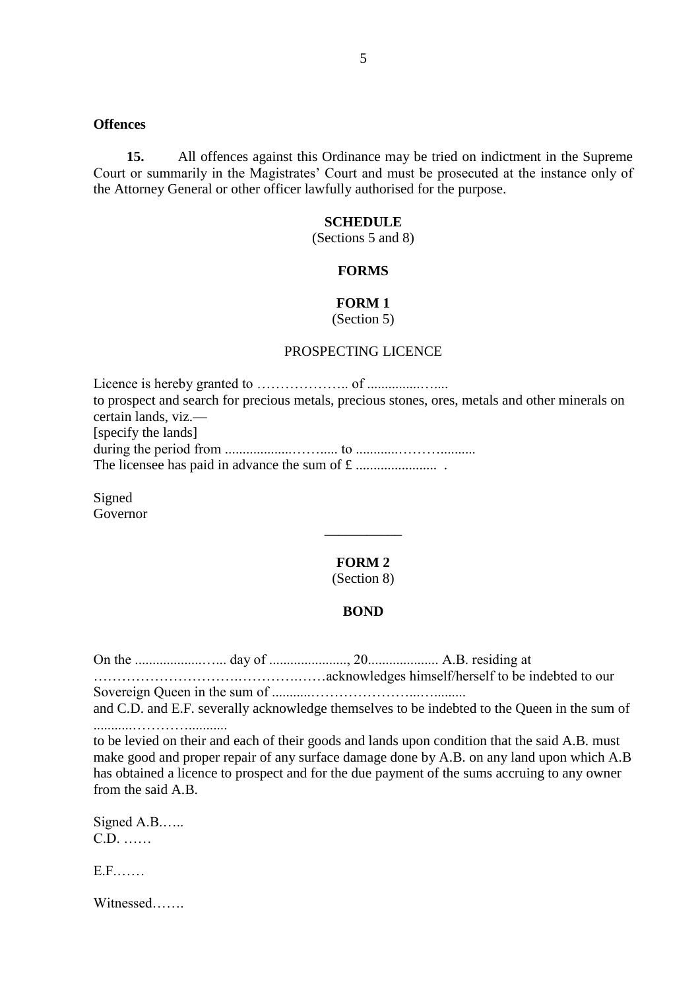### **Offences**

**15.** All offences against this Ordinance may be tried on indictment in the Supreme Court or summarily in the Magistrates' Court and must be prosecuted at the instance only of the Attorney General or other officer lawfully authorised for the purpose.

#### **SCHEDULE**

(Sections 5 and 8)

### **FORMS**

### **FORM 1**

(Section 5)

#### PROSPECTING LICENCE

Licence is hereby granted to ……………….. of ...............….... to prospect and search for precious metals, precious stones, ores, metals and other minerals on certain lands, viz.— [specify the lands] during the period from ...................……..... to ............……….......... The licensee has paid in advance the sum of £ ....................... .

Signed Governor

### **FORM 2**

\_\_\_\_\_\_\_\_\_\_\_

(Section 8)

### **BOND**

On the ...................…... day of ......................, 20.................... A.B. residing at ………………………….………….……acknowledges himself/herself to be indebted to our

Sovereign Queen in the sum of ...........…………………...….........

and C.D. and E.F. severally acknowledge themselves to be indebted to the Queen in the sum of ...........…………...........

to be levied on their and each of their goods and lands upon condition that the said A.B. must make good and proper repair of any surface damage done by A.B. on any land upon which A.B has obtained a licence to prospect and for the due payment of the sums accruing to any owner from the said A.B.

| Signed A.B |  |
|------------|--|
| $C.D.$     |  |

E.F.……

Witnessed…….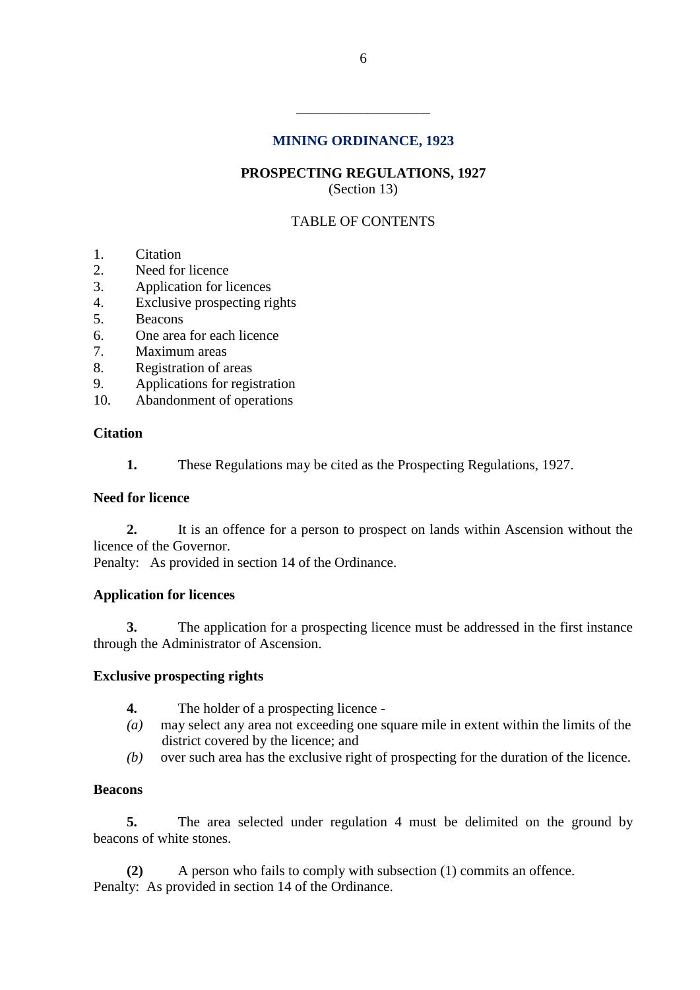## **MINING ORDINANCE, 1923**

\_\_\_\_\_\_\_\_\_\_\_\_\_\_\_\_\_\_\_

**PROSPECTING REGULATIONS, 1927** (Section 13)

# TABLE OF CONTENTS

- 1. Citation
- 2. Need for licence
- 3. Application for licences
- 4. Exclusive prospecting rights
- 5. Beacons
- 6. One area for each licence
- 7. Maximum areas
- 8. Registration of areas
- 9. Applications for registration
- 10. Abandonment of operations

### **Citation**

**1.** These Regulations may be cited as the Prospecting Regulations, 1927.

### **Need for licence**

**2.** It is an offence for a person to prospect on lands within Ascension without the licence of the Governor.

Penalty: As provided in section 14 of the Ordinance.

### **Application for licences**

**3.** The application for a prospecting licence must be addressed in the first instance through the Administrator of Ascension.

### **Exclusive prospecting rights**

- **4.** The holder of a prospecting licence -
- *(a)* may select any area not exceeding one square mile in extent within the limits of the district covered by the licence; and
- *(b)* over such area has the exclusive right of prospecting for the duration of the licence.

### **Beacons**

**5.** The area selected under regulation 4 must be delimited on the ground by beacons of white stones.

**(2)** A person who fails to comply with subsection (1) commits an offence. Penalty: As provided in section 14 of the Ordinance.